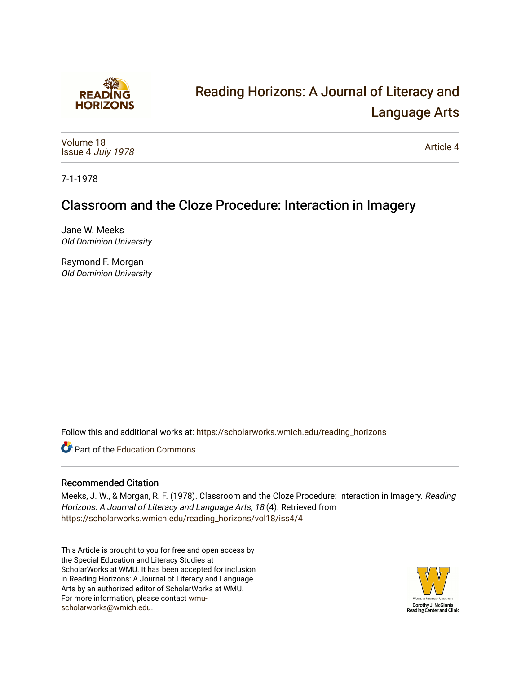

# [Reading Horizons: A Journal of Literacy and](https://scholarworks.wmich.edu/reading_horizons)  [Language Arts](https://scholarworks.wmich.edu/reading_horizons)

[Volume 18](https://scholarworks.wmich.edu/reading_horizons/vol18) Issue 4 [July 1978](https://scholarworks.wmich.edu/reading_horizons/vol18/iss4)

[Article 4](https://scholarworks.wmich.edu/reading_horizons/vol18/iss4/4) 

7-1-1978

## Classroom and the Cloze Procedure: Interaction in Imagery

Jane W. Meeks Old Dominion University

Raymond F. Morgan Old Dominion University

Follow this and additional works at: [https://scholarworks.wmich.edu/reading\\_horizons](https://scholarworks.wmich.edu/reading_horizons?utm_source=scholarworks.wmich.edu%2Freading_horizons%2Fvol18%2Fiss4%2F4&utm_medium=PDF&utm_campaign=PDFCoverPages)

**C** Part of the [Education Commons](http://network.bepress.com/hgg/discipline/784?utm_source=scholarworks.wmich.edu%2Freading_horizons%2Fvol18%2Fiss4%2F4&utm_medium=PDF&utm_campaign=PDFCoverPages)

### Recommended Citation

Meeks, J. W., & Morgan, R. F. (1978). Classroom and the Cloze Procedure: Interaction in Imagery. Reading Horizons: A Journal of Literacy and Language Arts, 18 (4). Retrieved from [https://scholarworks.wmich.edu/reading\\_horizons/vol18/iss4/4](https://scholarworks.wmich.edu/reading_horizons/vol18/iss4/4?utm_source=scholarworks.wmich.edu%2Freading_horizons%2Fvol18%2Fiss4%2F4&utm_medium=PDF&utm_campaign=PDFCoverPages) 

This Article is brought to you for free and open access by the Special Education and Literacy Studies at ScholarWorks at WMU. It has been accepted for inclusion in Reading Horizons: A Journal of Literacy and Language Arts by an authorized editor of ScholarWorks at WMU. For more information, please contact [wmu](mailto:wmu-scholarworks@wmich.edu)[scholarworks@wmich.edu.](mailto:wmu-scholarworks@wmich.edu)

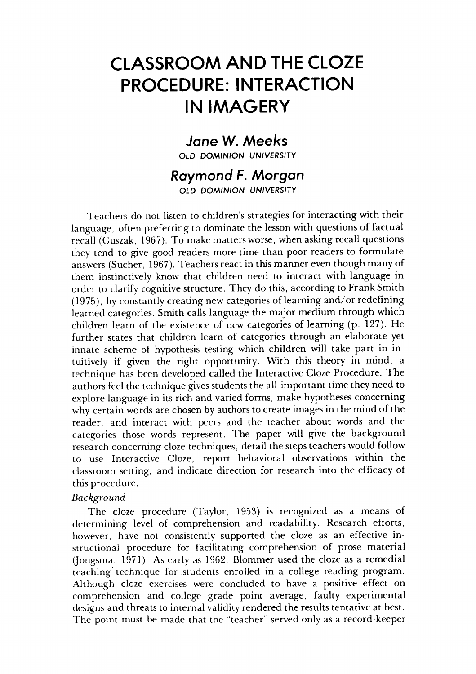## *CLASSROOM AND THE CLOZE* **CLASSROOM AND THE CLOZE**  *PROCEDURE: INTERACTION* **PROCEDURE: INTERACTION**  *IN IMAGERY* **IN IMAGERY**

### *Jane W. Meeks* **Jane W.** *Meeks*

*OLD DOMINION UNIVERSITY* OLD DOMINION UNIVERSITY

#### *Raymond F. Morgan Raymond* **F. Morgan**  *OLD DOMINION UNIVERSITY* OLD DOMINION UNIVERSITY

Teachers do not listen to children's strategies for interacting with their Teachers do not listen children's for interacting with their language, often preferring to dominate the lesson with questions of factual recall (Guszak, 1967). To make matters worse, when asking recall questions recall (Guszak, 1967). To make matters worse, when asking recall questions they tend to give good readers more time than poor readers to formulate they tend to give good readers more time than poor readers to formulate answers (Sucher, 1967). Teachers react in this manner even though many of answers (Sucher, 1967). Teachers react in this manner even though many of them instinctively know that children need to interact with language in order to clarify cognitive structure. They do this, according to Frank Smith order to clarify cognitive structure. They do this, according to Frank Smith (1975), by constantly creating new categories of learning and/or redefining learned categories. Smith calls language the major medium through which learned categories. Smith calls language the major medium through which children learn of the existence of new categories of learning (p. 127). He children learn of the existence of new categories of learning (p. 127). He further states that children learn of categories through an elaborate yet further states that children learn of categories through an elaborate yet innate scheme of hypothesis testing which children will take part in intuitively if given the right opportunity. With this theory in mind, a tuitively if given the right opportunity. With this theory in mind, a technique has been developed called the Interactive Cloze Procedure. The authors feel the technique gives students the all-important time they need to explore language in its rich and varied forms, make hypotheses concerning why certain words are chosen byauthorsto create images in the mind of the why certain words are chosen by authors to create images in the mind of the reader, and interact with peers and the teacher about words and the reader, and interact with peers and the teacher about words and the categories those words represent. The paper will give the background categories those words represent. The paper will give the background research concerning cloze techniques, detail the steps teachers would follow research concerning cloze techniques, detail the steps teachers would follow to use Interactive Cloze, report behavioral observations within the to use Interactive Cloze, report behavioral observations within the classroom setting, and indicate direction for research into the efficacy of classroom setting, and indicate direction for research into the efficacy of this procedure. this procedure.

#### **Background** *Bar;kground*

The cloze procedure (Taylor, 1953) is recognized as a means of The cloze procedure (Taylor, 1953) is recognized as a means of determining level of comprehension and readability. Research efforts, determining level of comprehension and readability. Research efforts, however, have not consistently supported the cloze as an effective in however, have not consistently supported the cloze as an effective instructional procedure for facilitating comprehension of prose material structional procedure for facilitating comprehension of prose material (Jongsma, 1971). As early as 1962, Blommer used the cloze as a remedial (Jongsma, 1971). As early as 1962, Blommer used the cloze as a remedial teaching technique for students enrolled in a college reading program. teaching'technique for students enrolled in a college reading program. Although cloze exercises were concluded to have a positive effect on Although cloze exercises were concluded to have a positive effect on comprehension and college grade point average, faulty experimental comprehension and college grade point average, faulty experimental designs and threats to internal validity rendered the results tentative at best. designs and threats to internal validity rendered the results tentative at best. The point must be made that the "teacher" served only as a record-keeper The point must be made that the "teacher" served only as a record-keeper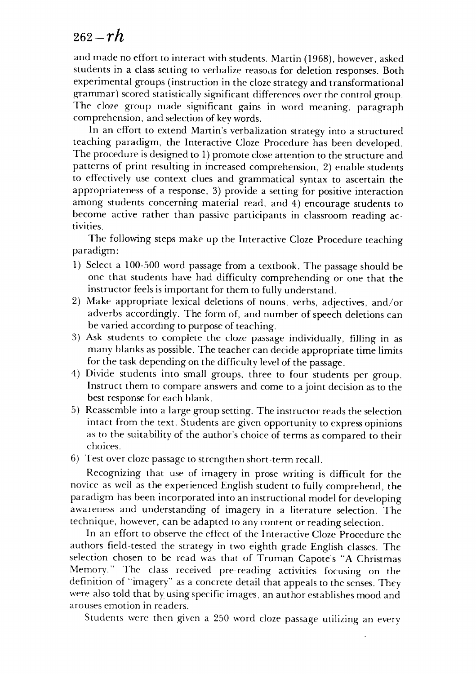### 262**~rh** *262-rh*

and made no effort to interact with students. Martin (1968), however, asked and made no effort to interact with students. Martin (1968), however, asked students in a class setting to verbalize reasons for deletion responses. Both students in a class setting to verbalize reaso.lS for deletion responses. Both experimental groups (instruction in the cloze strategy and transformational grammar) scored statistically significant differences over the control group. The cloze group made significant gains in word meaning, paragraph comprehension, and selection of key words.

In an effort to extend Martin's verbalization strategy into a structured comprehension, and selection of key words. In an effort to extend Martin's verbalization strategy into a structured teaching paradigm, the Interactive Cloze Procedure has been developed. teaching paradigm, the Interactive Cloze Procedure has been developed. The procedure is designed to 1) promote close attention to the structure and patterns of print resulting in increased comprehension, 2) enable students patterns of print resulting in increased comprehemion, 2) enable students to effectively use context clues and grammatical syntax to ascertain the to effectively use context clues and grammatical syntax to ascertain the appropriateness of a response, 3) provide a setting for positive interaction appropriateness of a respome, 3) provide a setting for positive interaction among students concerning material read, and 4) encourage students to among students concerning material read, and 4) encourage students to become active rather than passive participants in classroom reading ac become active rather than passive participants in classroom reading activities. tivities.

The following steps make up the Interactive Cloze Procedure teaching The following steps make up the Interactive Cloze Procedure teaching paradigm: paradigm:

- 1) Select a 100-500 word passage from a textbook. The passage should be 1) Select a 100-500 word passage from a textbook. The passage should be one that students have had difficulty comprehending or one that the instructor feels is important for them to fullyunderstand. instructor feels is for them to fully understand.
- 2) Make appropriate lexical deletions of nouns, verbs, adjectives, and/or 2) Make appropriate lexical deletions of nouns, verbs, adjectives, and/or adverbs accordingly. The form of, and number of speech deletions can be varied according to purpose of teaching. be varied according to purpose of teaching.
- 3) Ask students to complete the cloze passage individually, filling in as 3) Ask students to complete the cloze passage individually, filling in as many blanks as possible. The teacher can decide appropriate time limits many blanks as possible. The teacher can decide appropriate time limits for the task depending on the difficulty level of the passage. for the task depending on the difficulty level of the passage.
- 4) Divide students into small groups, three to four students per group. 4) Divide students into small groups, three to four students per group. Instruct them to compare answers and come to a joint decision as to the Instruct them to compare answers and come to a joint decision as to the best response for each blank. best response for each blank.
- 5) Reassemble into a large group setting. The instructor reads the selection 5) Reassemble into a large group setting. The instructor reads the selection intact from the text. Studentsare given opportunity to express opinions intact from the text. Students are given opportunity to express opinions as to the suitability of the author's choice of terms as compared to their choices. choices.
- 6) Test over cloze passage to strengthen short-term recall. 6) Test over cloze passage to strengthen short-term recall.

Recognizing that use of imagery in prose writing is difficult for the Recognizing that use of imagery in prose writing is difficult for the novice as well as the experienced English student to fully comprehend, the novice as well as the experienced English student to fully comprehend, the paradigm has been incorporated intoan instructional model for developing paradigm has been incorporated into an instructional model for developing awareness and understanding of imagery in a literature selection. The awareness and understanding of imagery in a literature selection. The technique, however, can be adapted to anycontentor readingselection. technique, however, can be adapted to any content or reading selection.

In an effort to observe the effect of the Interactive Cloze Procedure the In an effort to observe the effect of the Interactive Cloze Procedure the authors field-tested the strategy in two eighth grade English classes. The authors field-tested the strategy in two eighth grade English classes. The selection chosen to be read was that of Truman Capote's "A Christmas selection chosen to be read was that of Truman Capote's "A Christmas Memory." The class received pre-reading activities focusing on the Memory." The class received pre-reading activities focusing on the definition of "imagery" as a concrete detail that appealsto the senses. They definition of "imagery" as a concrete detail that appeals to the semes. They were also told that by using specific images, an author establishes mood and were also told that by using specific images, an author establishes mood and arouses emotion in readers. arouses emotion in readers.

Students were then given a 250 word cloze passage utilizing an every Students were then given a 250 word cloze passage utilizing an every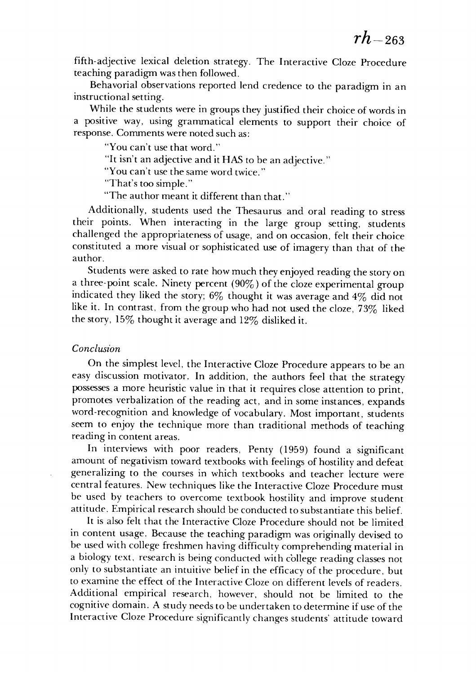fifth-adjective lexical deletion strategy. The Interactive Cloze Procedure fifth-adjective lexical deletion strategy. The Interactive Cloze Procedure teaching paradigm was then followed. teaching paradigm was then followed.

Behavorial observations reported lend credence to the paradigm in an Behavorial observations reported lend credence to the paradigm in an instructional setting. instructional setting.

While the students were in groups they justified their choice of words in While the students were in groups they justified their choice of words in a positive way, using grammatical elements to support their choice of a positive way, using grammatical elements to support their choice of response. Comments were noted such as: response. Comments were noted such as:

"You can't use that word." "You can't use that word."

"It isn't an adjective and it HAS to be an adjective." "It isn't an adjective and it HAS to be an adjective."

"You can't use the same word twice." "You can't use the same word twice."

"That's too simple." "That's too simple."

"The author meant it different than that." "The author meant it different than that."

Additionally, students used the Thesaurus and oral reading to stress Additionally, students used the Thesaurus and oral reading to stress their points. When interacting in the large group setting, students their points. When interacting in the large group setting, students challenged the appropriateness of usage, and on occasion, felt their choice challenged the appropriateness of usage, and on occasion, felt their choice constituted a more visual or sophisticated use of imagery than that of the constituted a more visual or sophisticated use imagery than that of the author. author.

Students were asked to rate how much they enjoyed reading the story on a three-point scale. Ninety percent (90%) of the cloze experimental group a three-point scale. Ninety percent (90%) of the cloze experimental group indicated they liked the story;  $6\%$  thought it was average and  $4\%$  did not like it. In contrast, from the group who had not used the cloze,  $73\%$  liked the story,  $15\%$  thought it average and  $12\%$  disliked it.

#### **Conclusion** *Conclusion*

On the simplest level, the Interactive Cloze Procedure appears to be an On the simplest level, the Interactive Cloze Procedure appears to be an easy discussion motivator. In addition, the authors feel that the strategy easy discussion motivator. In addition, the authors feel that the strategy possesses a more heuristic value in that it requires close attention to print, possesses a more heuristic value in that it requires close attention to print, promotes verbalization of the reading act, and in some instances, expands promotes verbalization of the reading act, and in some instances, expands word-recognition and knowledge of vocabulary. Most important, students word-recognition and knowledge of vocabulary. Most important, students seem to enjoy the technique more than traditional methods of teaching seem to enjoy the technique more than traditional methods of teaching reading in content areas. reading in content areas.

In interviews with poor readers, Penty (1959) found a significant In interviews with poor readers, Penty (1959) found a significant amount of negativism toward textbooks with feelings of hostility and defeat amount of negativism toward textbooks with feelings of hostility and defeat generalizing to the courses in which textbooks and teacher lecture were generalizing to the courses in which text books and teacher lecture were central features. New techniques like the Interactive Cloze Procedure must central features. New techniques like the Interactive Cloze Procedure must be used by teachers to overcome textbook hostility and improve student be used by teachers to overcome textbook hostility and improve student attitude. Empirical research should be conducted to substantiate this belief. attitude. Empirical research should be conducted to substantiate this belief.

It is also felt that the Interactive Cloze Procedure should not be limited It is also felt that the Interactive Cloze Procedure should not be limited in content usage. Because the teaching paradigm was originally devised to be used with college freshmen having difficulty comprehending material in a biology text, research is being conducted with college reading classes not a biology text, research is being conducted with college reading classes not only to substantiate an intuitive belief in the efficacy of the procedure, but to examine the effect of the Interactive Cloze on different levels of readers. to examine the effect of the Interactive Cloze on different levels of readers. Additional empirical research, however, should not be limited to the Additional empirical research, however, should not be limited to the cognitive domain. A study needs to be undertaken to determine if use of the cognitive domain. A study needs to be undertaken to determine if use of the Interactive Cloze Procedure significantly changes students' attitude toward Interactive Cloze Procedure significantly changes students' attitude toward